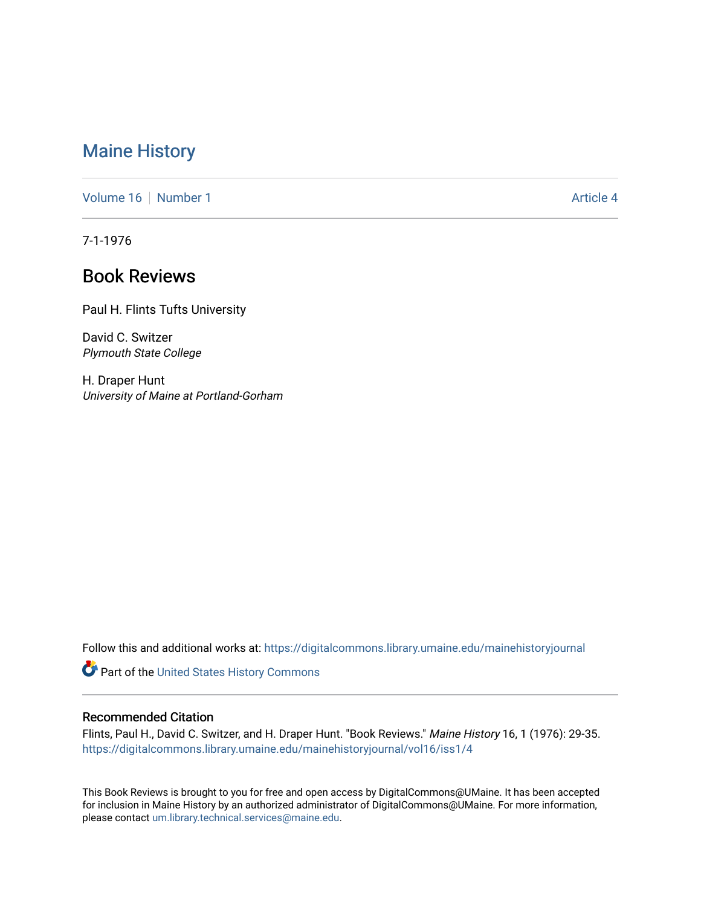# [Maine History](https://digitalcommons.library.umaine.edu/mainehistoryjournal)

[Volume 16](https://digitalcommons.library.umaine.edu/mainehistoryjournal/vol16) [Number 1](https://digitalcommons.library.umaine.edu/mainehistoryjournal/vol16/iss1) [Article 4](https://digitalcommons.library.umaine.edu/mainehistoryjournal/vol16/iss1/4) Article 4 Article 4 Article 4 Article 4 Article 4 Article 4

7-1-1976

# Book Reviews

Paul H. Flints Tufts University

David C. Switzer Plymouth State College

H. Draper Hunt University of Maine at Portland-Gorham

Follow this and additional works at: [https://digitalcommons.library.umaine.edu/mainehistoryjournal](https://digitalcommons.library.umaine.edu/mainehistoryjournal?utm_source=digitalcommons.library.umaine.edu%2Fmainehistoryjournal%2Fvol16%2Fiss1%2F4&utm_medium=PDF&utm_campaign=PDFCoverPages) 

Part of the [United States History Commons](http://network.bepress.com/hgg/discipline/495?utm_source=digitalcommons.library.umaine.edu%2Fmainehistoryjournal%2Fvol16%2Fiss1%2F4&utm_medium=PDF&utm_campaign=PDFCoverPages) 

#### Recommended Citation

Flints, Paul H., David C. Switzer, and H. Draper Hunt. "Book Reviews." Maine History 16, 1 (1976): 29-35. [https://digitalcommons.library.umaine.edu/mainehistoryjournal/vol16/iss1/4](https://digitalcommons.library.umaine.edu/mainehistoryjournal/vol16/iss1/4?utm_source=digitalcommons.library.umaine.edu%2Fmainehistoryjournal%2Fvol16%2Fiss1%2F4&utm_medium=PDF&utm_campaign=PDFCoverPages)

This Book Reviews is brought to you for free and open access by DigitalCommons@UMaine. It has been accepted for inclusion in Maine History by an authorized administrator of DigitalCommons@UMaine. For more information, please contact [um.library.technical.services@maine.edu.](mailto:um.library.technical.services@maine.edu)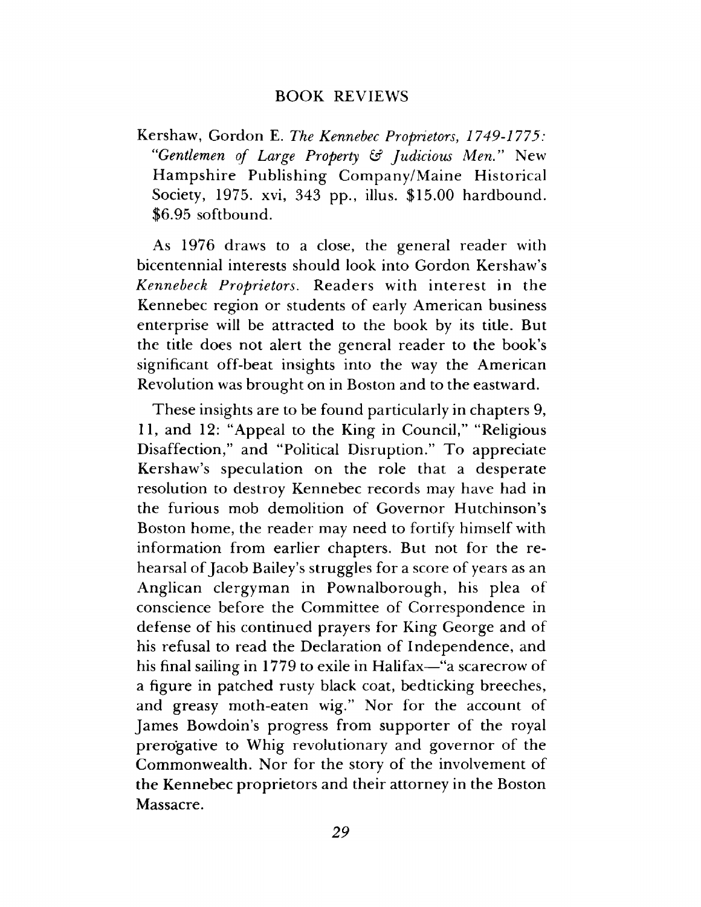### **BOOK REVIEWS**

**Kershaw, Gordon E.** *The Kennebec Proprietors***,** *1749-1775: "Gentlemen of Large Property & Judicious Men."* **New Hampshire Publishing Company/Maine Historical Society, 1975. xvi, 343 pp., illus. \$15.00 hardbound. \$6.95 softbound.**

**As 1976 draws to a close, the general reader with bicentennial interests should look into Gordon Kershaw's** *Kennebeck Proprietors.* **Readers with interest in the Kennebec region or students of early American business enterprise will be attracted to the book by its title. But the title does not alert the general reader to the book's significant off-beat insights into the way the American Revolution was brought on in Boston and to the eastward.**

**These insights are to be found particularly in chapters 9, 11, and 12: "Appeal to the King in Council," "Religious Disaffection," and "Political Disruption." To appreciate Kershaw's speculation on the role that a desperate resolution to destroy Kennebec records may have had in the furious mob demolition of Governor Hutchinson's Boston home, the reader may need to fortify himself with information from earlier chapters. But not for the rehearsal of Jacob Bailey's struggles for a score of years as an Anglican clergyman in Pownalborough, his plea of conscience before the Committee of Correspondence in defense of his continued prayers for King George and of his refusal to read the Declaration of Independence, and his final sailing in 1779 to exile in Halifax—"a scarecrow of a figure in patched rusty black coat, bedticking breeches, and greasy moth-eaten wig." Nor for the account of James Bowdoin's progress from supporter of the royal prerogative to Whig revolutionary and governor of the Commonwealth. Nor for the story of the involvement of the Kennebec proprietors and their attorney in the Boston Massacre.**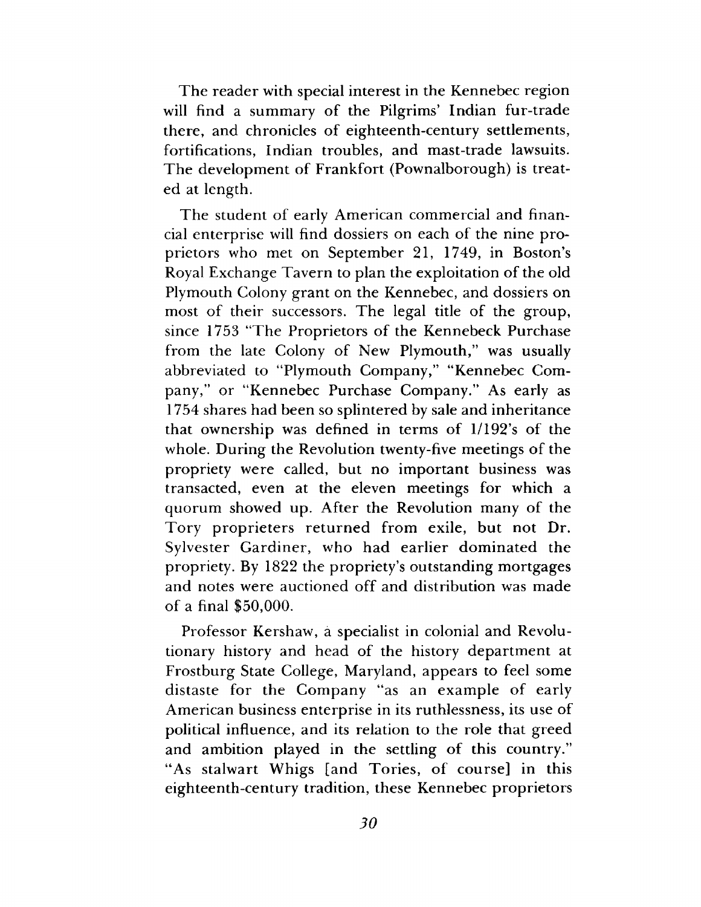**The reader with special interest in the Kennebec region will find a summary of the Pilgrims' Indian fur-trade there, and chronicles of eighteenth-century settlements, fortifications, Indian troubles, and mast-trade lawsuits. The development of Frankfort (Pownalborough) is treated at length.**

**The student of early American commercial and financial enterprise will find dossiers on each of the nine proprietors who met on September 21, 1749, in Boston's Royal Exchange Tavern to plan the exploitation of the old Plymouth Colony grant on the Kennebec, and dossiers on most of their successors. The legal title of the group, since 1753 "The Proprietors of the Kennebeck Purchase from the late Colony of New Plymouth," was usually abbreviated to "Plymouth Company," "Kennebec Company," or "Kennebec Purchase Company." As early as 1754 shares had been so splintered by sale and inheritance that ownership was defined in terms of 1/192's of the whole. During the Revolution twenty-five meetings of the propriety were called, but no important business was transacted, even at the eleven meetings for which a quorum showed up. After the Revolution many of the Tory proprieters returned from exile, but not Dr. Sylvester Gardiner, who had earlier dominated the propriety. By 1822 the propriety's outstanding mortgages and notes were auctioned off and distribution was made of a final \$50,000.**

**Professor Kershaw, a specialist in colonial and Revolutionary history and head of the history department at Frostburg State College, Maryland, appears to feel some distaste for the Company "as an example of early American business enterprise in its ruthlessness, its use of political influence, and its relation to the role that greed and ambition played in the settling of this country." "As stalwart Whigs [and Tories, of course] in this eighteenth-century tradition, these Kennebec proprietors**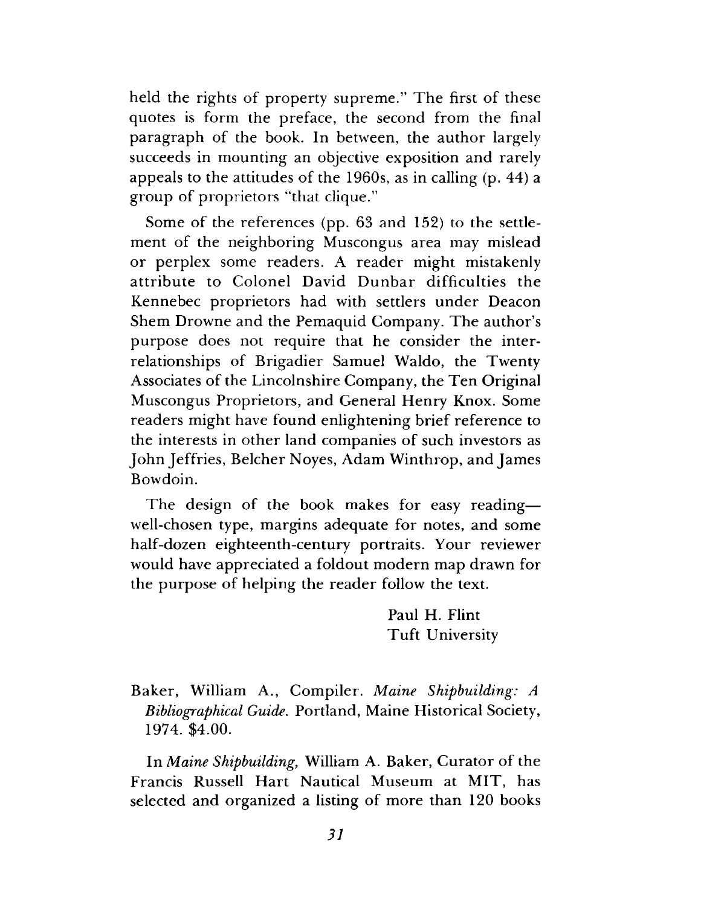**held the rights of property supreme." The first of these quotes is form the preface, the second from the final paragraph of the book. In between, the author largely succeeds in mounting an objective exposition and rarely appeals to the attitudes of the 1960s, as in calling (p. 44) a group of proprietors "that clique."**

**Some of the references (pp. 63 and 152) to the settlement of the neighboring Muscongus area may mislead or perplex some readers. A reader might mistakenly attribute to Colonel David Dunbar difficulties the Kennebec proprietors had with settlers under Deacon Shem Drowne and the Pemaquid Company. The author s purpose does not require that he consider the interrelationships of Brigadier Samuel Waldo, the Twenty Associates of the Lincolnshire Company, the Ten Original Muscongus Proprietors, and General Henry Knox. Some readers might have found enlightening brief reference to the interests in other land companies of such investors as John Jeffries, Belcher Noyes, Adam Winthrop, and James Bowdoin.**

**The design of the book makes for easy reading well-chosen type, margins adequate for notes, and some half-dozen eighteenth-century portraits. Your reviewer would have appreciated a foldout modern map drawn for the purpose of helping the reader follow the text.**

> **Paul H. Flint Tuft University**

**Baker, William A., Compiler.** *Maine Shipbuilding: A Bibliographical Guide***. Portland, Maine Historical Society, 1974. \$4.00.**

**In** *Maine Shipbuilding***, William A. Baker, Curator of the Francis Russell Hart Nautical Museum at MIT, has selected and organized a listing of more than 120 books**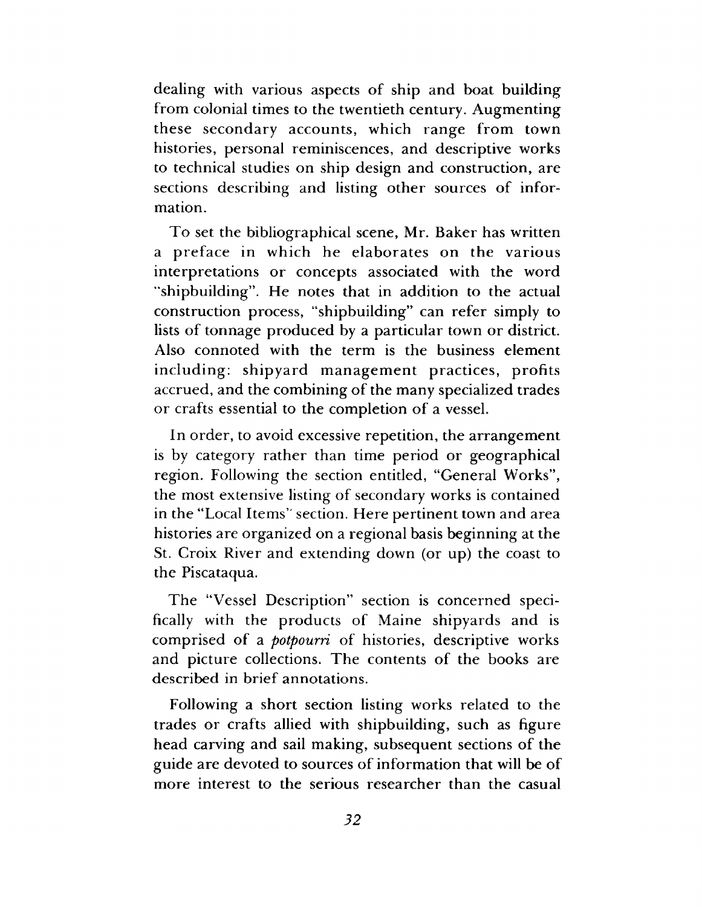**dealing with various aspects of ship and boat building from colonial times to the twentieth century. Augmenting these secondary accounts, which range from town histories, personal reminiscences, and descriptive works to technical studies on ship design and construction, are sections describing and listing other sources of information.**

**To set the bibliographical scene, Mr. Baker has written a preface in which he elaborates on the various interpretations or concepts associated with the word "shipbuilding". He notes that in addition to the actual construction process, "shipbuilding" can refer simply to lists of tonnage produced by a particular town or district. Also connoted with the term is the business element including: shipyard management practices, profits accrued, and the combining of the many specialized trades or crafts essential to the completion of a vessel.**

**In order, to avoid excessive repetition, the arrangement is by category rather than time period or geographical region. Following the section entitled, "General Works", the most extensive listing of secondary works is contained in the "Local Items' section. Here pertinent town and area histories are organized on a regional basis beginning at the St. Croix River and extending down (or up) the coast to the Piscataqua.**

**The "Vessel Description" section is concerned specifically with the products of Maine shipyards and is comprised of a** *potpourri* **of histories, descriptive works and picture collections. The contents of the books are described in brief annotations.**

**Following a short section listing works related to the trades or crafts allied with shipbuilding, such as figure head carving and sail making, subsequent sections of the guide are devoted to sources of information that will be of more interest to the serious researcher than the casual**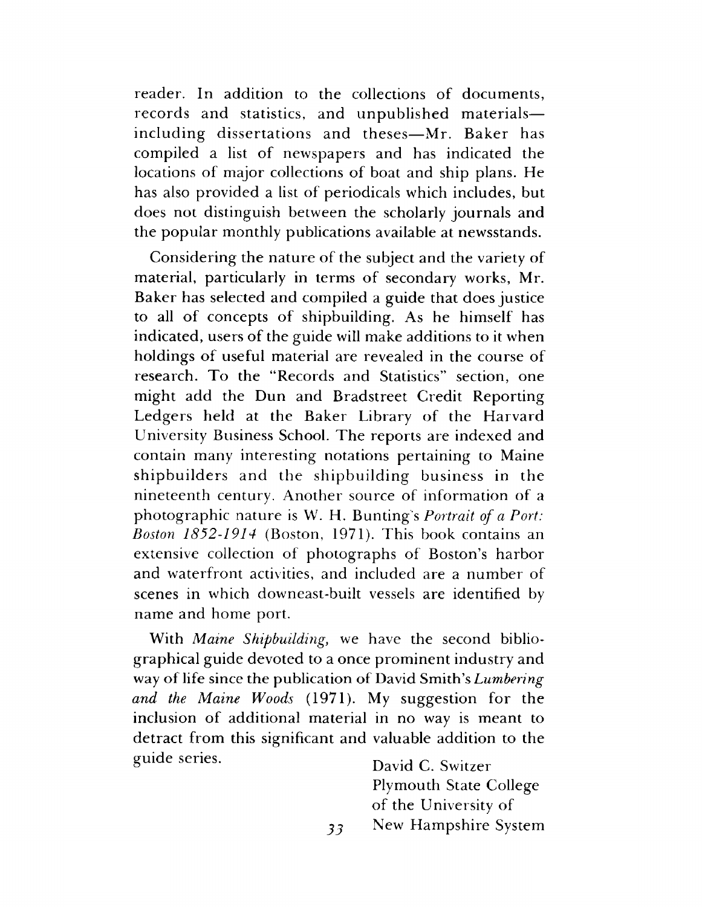**reader. In addition to the collections of documents, records and statistics, and unpublished materials including dissertations and theses— Mr. Baker has compiled a list of newspapers and has indicated the locations of major collections of boat and ship plans. He has also provided a list of periodicals which includes, but does not distinguish between the scholarly journals and the popular monthly publications available at newsstands.**

**Considering the nature of the subject and the variety of material, particularly in terms of secondary works, Mr. Baker has selected and compiled a guide that does justice to all of concepts of shipbuilding. As he himself has indicated, users of the guide will make additions to it when holdings of useful material are revealed in the course of research. To the "Records and Statistics" section, one might add the Dun and Bradstreet Credit Reporting Ledgers held at the Baker Library of the Harvard University Business School. The reports are indexed and contain many interesting notations pertaining to Maine shipbuilders and the shipbuilding business in the nineteenth century. Another source of information of a photographic nature is W. H. Bunting s** *Portrait of a Port: Boston 1852-1914* **(Boston, 1971). This book contains an extensive collection of photographs of Boston's harbor and waterfront activities, and included are a number of scenes in which downeast-built vessels are identified by name and home port.**

**With** *Maine Shipbuilding***, we have the second bibliographical guide devoted to a once prominent industry and way of life since the publication of David Smith's** *Lumbering and the Maine Woods* **(1971). My suggestion for the inclusion of additional material in no way is meant to detract from this significant and valuable addition to the** guide series. <br> **C. Switzer** 

**Plymouth State College of the University of New Hampshire System**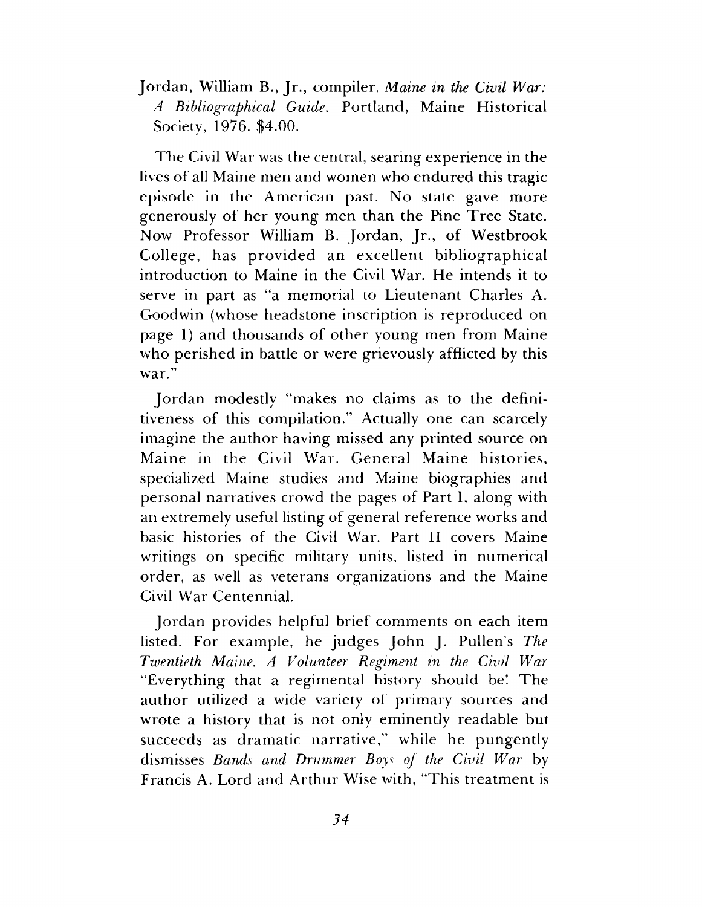**Jordan, William B., Jr., compiler.** *Maine in the Civil War: A Bibliographical Guide.* **Portland, Maine Historical Society, 1976. \$4.00.**

**The Civil War was the central, searing experience in the lives of all Maine men and women who endured this tragic episode in the American past. No state gave more generously of her young men than the Pine Tree State. Now Professor William B. Jordan, Jr., of Westbrook College, has provided an excellent bibliographical introduction to Maine in the Civil War. He intends it to serve in part as "a memorial to Lieutenant Charles A. Goodwin (whose headstone inscription is reproduced on page 1) and thousands of other young men from Maine who perished in battle or were grievously afflicted by this war."**

**Jordan modestly "makes no claims as to the definitiveness of this compilation." Actually one can scarcely imagine the author having missed any printed source on Maine in the Civil War. General Maine histories, specialized Maine studies and Maine biographies and personal narratives crowd the pages of Part I, along with an extremely useful listing of general reference works and basic histories of the Civil War. Part II covers Maine writings on specific military units, listed in numerical order, as well as veterans organizations and the Maine Civil War Centennial.**

**Jordan provides helpful brief comments on each item listed. For example, he judges John J. Pullen's** *The Twentieth Maine. A Volunteer Regiment in the Civil War* **"Everything that a regimental history should be! The author utilized a wide variety of primary sources and wrote a history that is not only eminently readable but succeeds as dramatic narrative," while he pungently dismisses** *Bands and Drummer Boys of the Civil War* **by Francis A. Lord and Arthur Wise with, "This treatment is**